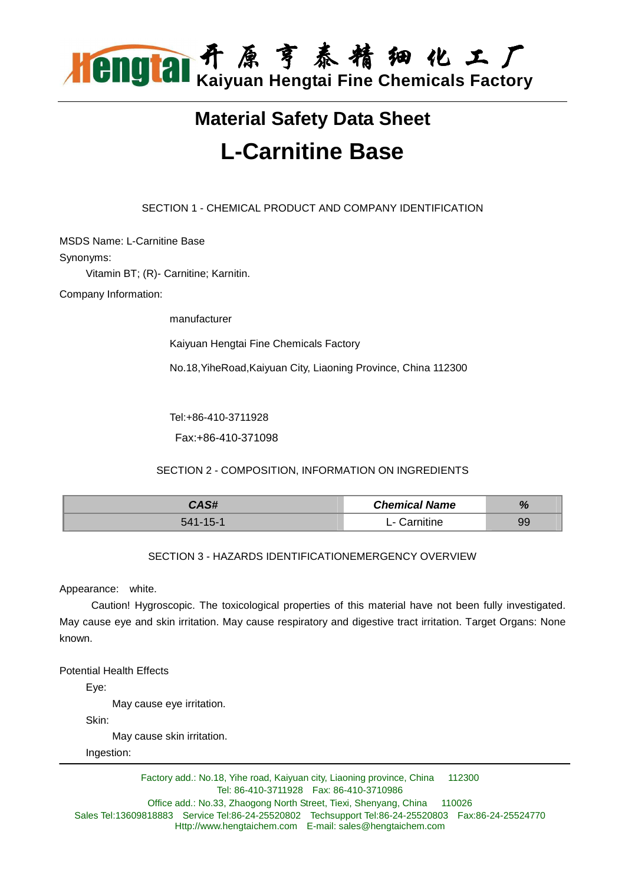

# **Material Safety Data Sheet L-Carnitine Base**

SECTION 1 - CHEMICAL PRODUCT AND COMPANY IDENTIFICATION

MSDS Name: L-Carnitine Base

Synonyms:

Vitamin BT; (R)- Carnitine; Karnitin.

Company Information:

manufacturer

Kaiyuan Hengtai Fine Chemicals Factory

No.18,YiheRoad,Kaiyuan City, Liaoning Province, China 112300

Tel:+86-410-3711928

Fax:+86-410-371098

SECTION 2 - COMPOSITION, INFORMATION ON INGREDIENTS

| CAS#     | <b>Chemical Name</b>                  | $\mathbf{0}$<br>70 |
|----------|---------------------------------------|--------------------|
| 541-15-1 | `arnitine<br>$\overline{\phantom{0}}$ |                    |

## SECTION 3 - HAZARDS IDENTIFICATIONEMERGENCY OVERVIEW

Appearance: white.

 Caution! Hygroscopic. The toxicological properties of this material have not been fully investigated. May cause eye and skin irritation. May cause respiratory and digestive tract irritation. Target Organs: None known.

Potential Health Effects

Eye:

May cause eye irritation.

Skin:

May cause skin irritation.

Ingestion: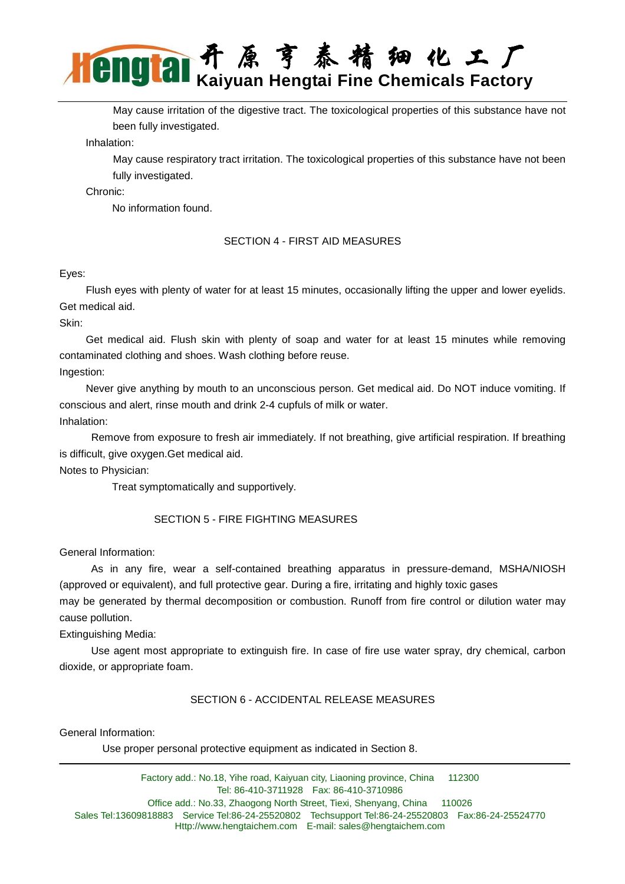May cause irritation of the digestive tract. The toxicological properties of this substance have not been fully investigated.

Inhalation:

 May cause respiratory tract irritation. The toxicological properties of this substance have not been fully investigated.

Chronic:

No information found.

## SECTION 4 - FIRST AID MEASURES

## Eyes:

 Flush eyes with plenty of water for at least 15 minutes, occasionally lifting the upper and lower eyelids. Get medical aid.

Skin:

 Get medical aid. Flush skin with plenty of soap and water for at least 15 minutes while removing contaminated clothing and shoes. Wash clothing before reuse.

Ingestion:

 Never give anything by mouth to an unconscious person. Get medical aid. Do NOT induce vomiting. If conscious and alert, rinse mouth and drink 2-4 cupfuls of milk or water. Inhalation:

 Remove from exposure to fresh air immediately. If not breathing, give artificial respiration. If breathing is difficult, give oxygen.Get medical aid.

Notes to Physician:

Treat symptomatically and supportively.

## SECTION 5 - FIRE FIGHTING MEASURES

General Information:

 As in any fire, wear a self-contained breathing apparatus in pressure-demand, MSHA/NIOSH (approved or equivalent), and full protective gear. During a fire, irritating and highly toxic gases

may be generated by thermal decomposition or combustion. Runoff from fire control or dilution water may cause pollution.

Extinguishing Media:

 Use agent most appropriate to extinguish fire. In case of fire use water spray, dry chemical, carbon dioxide, or appropriate foam.

## SECTION 6 - ACCIDENTAL RELEASE MEASURES

General Information:

Use proper personal protective equipment as indicated in Section 8.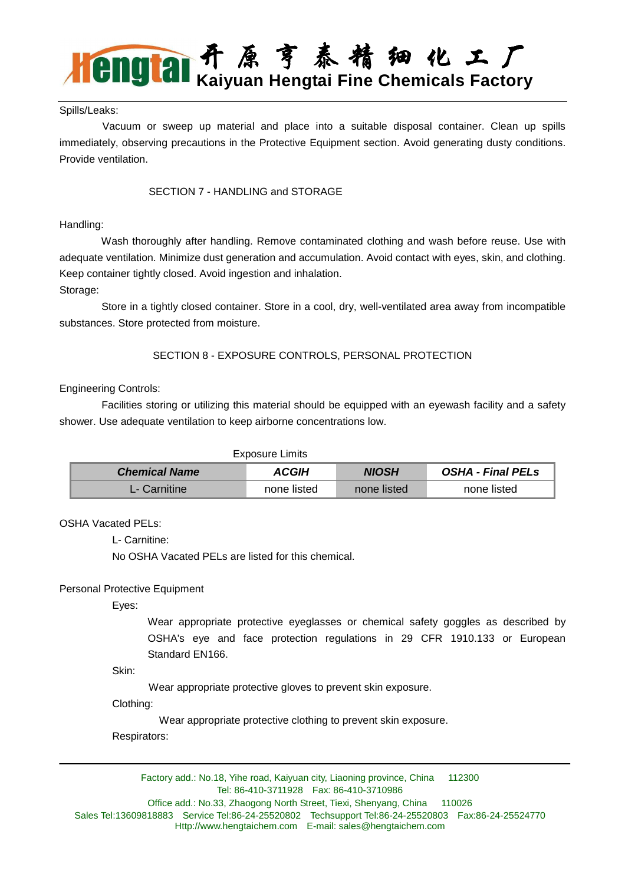## Spills/Leaks:

 Vacuum or sweep up material and place into a suitable disposal container. Clean up spills immediately, observing precautions in the Protective Equipment section. Avoid generating dusty conditions. Provide ventilation.

## SECTION 7 - HANDLING and STORAGE

## Handling:

 Wash thoroughly after handling. Remove contaminated clothing and wash before reuse. Use with adequate ventilation. Minimize dust generation and accumulation. Avoid contact with eyes, skin, and clothing. Keep container tightly closed. Avoid ingestion and inhalation.

Storage:

 Store in a tightly closed container. Store in a cool, dry, well-ventilated area away from incompatible substances. Store protected from moisture.

SECTION 8 - EXPOSURE CONTROLS, PERSONAL PROTECTION

## Engineering Controls:

 Facilities storing or utilizing this material should be equipped with an eyewash facility and a safety shower. Use adequate ventilation to keep airborne concentrations low.

#### Exposure Limits

| <b>Chemical Name</b> | <b>ACGIH</b> | <b>NIOSH</b> | OSHA - Final PELs |
|----------------------|--------------|--------------|-------------------|
| L- Carnitine         | none listed  | none listed  | none listed       |

## OSHA Vacated PELs:

L- Carnitine:

No OSHA Vacated PELs are listed for this chemical.

## Personal Protective Equipment

Eyes:

Wear appropriate protective eyeglasses or chemical safety goggles as described by OSHA's eye and face protection regulations in 29 CFR 1910.133 or European Standard EN166.

Skin:

Wear appropriate protective gloves to prevent skin exposure.

Clothing:

Wear appropriate protective clothing to prevent skin exposure.

Respirators: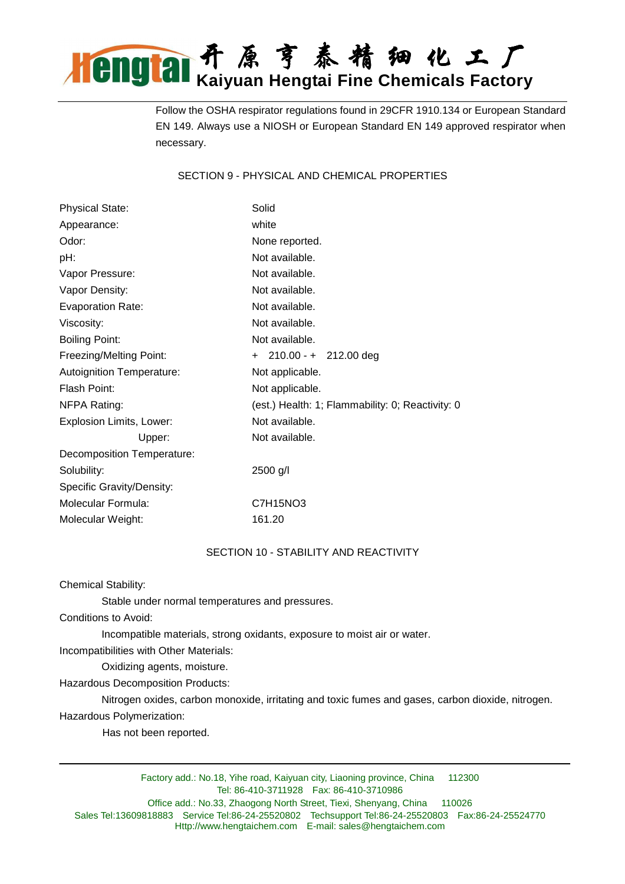Follow the OSHA respirator regulations found in 29CFR 1910.134 or European Standard EN 149. Always use a NIOSH or European Standard EN 149 approved respirator when necessary.

SECTION 9 - PHYSICAL AND CHEMICAL PROPERTIES

| <b>Physical State:</b>     | Solid                                            |  |
|----------------------------|--------------------------------------------------|--|
| Appearance:                | white                                            |  |
| Odor:                      | None reported.                                   |  |
| pH:                        | Not available.                                   |  |
| Vapor Pressure:            | Not available.                                   |  |
| Vapor Density:             | Not available.                                   |  |
| <b>Evaporation Rate:</b>   | Not available.                                   |  |
| Viscosity:                 | Not available.                                   |  |
| <b>Boiling Point:</b>      | Not available.                                   |  |
| Freezing/Melting Point:    | $+$ 210.00 - $+$ 212.00 deg                      |  |
| Autoignition Temperature:  | Not applicable.                                  |  |
| Flash Point:               | Not applicable.                                  |  |
| NFPA Rating:               | (est.) Health: 1; Flammability: 0; Reactivity: 0 |  |
| Explosion Limits, Lower:   | Not available.                                   |  |
| Upper:                     | Not available.                                   |  |
| Decomposition Temperature: |                                                  |  |
| Solubility:                | 2500 g/l                                         |  |
| Specific Gravity/Density:  |                                                  |  |
| Molecular Formula:         | C7H15NO3                                         |  |
| Molecular Weight:          | 161.20                                           |  |

## SECTION 10 - STABILITY AND REACTIVITY

Chemical Stability:

Stable under normal temperatures and pressures.

Conditions to Avoid:

Incompatible materials, strong oxidants, exposure to moist air or water.

Incompatibilities with Other Materials:

Oxidizing agents, moisture.

Hazardous Decomposition Products:

 Nitrogen oxides, carbon monoxide, irritating and toxic fumes and gases, carbon dioxide, nitrogen. Hazardous Polymerization:

Has not been reported.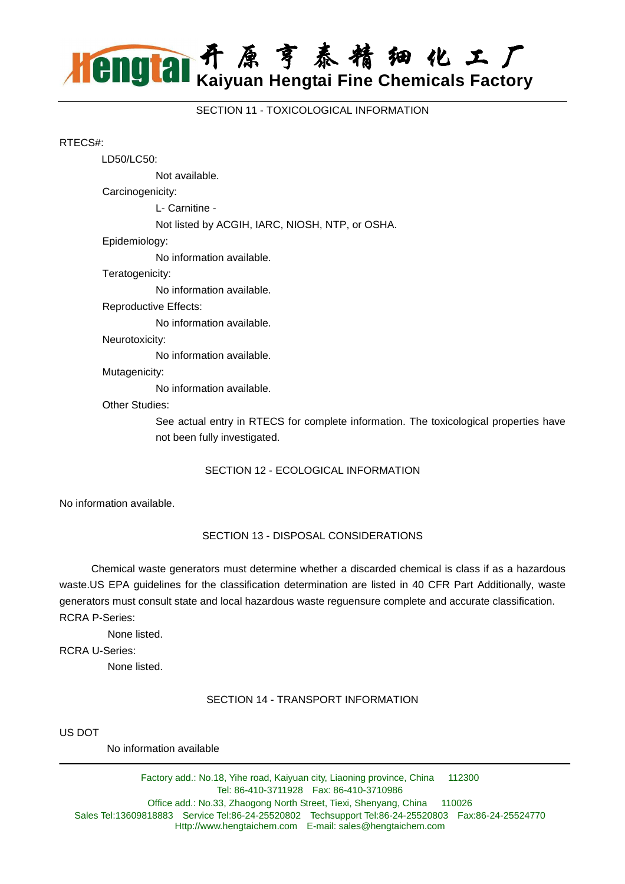SECTION 11 - TOXICOLOGICAL INFORMATION

#### RTECS#:

 LD50/LC50: Not available. Carcinogenicity: L- Carnitine - Not listed by ACGIH, IARC, NIOSH, NTP, or OSHA. Epidemiology: No information available. Teratogenicity: No information available. Reproductive Effects: No information available. Neurotoxicity: No information available. Mutagenicity:

No information available.

#### Other Studies:

See actual entry in RTECS for complete information. The toxicological properties have not been fully investigated.

## SECTION 12 - ECOLOGICAL INFORMATION

No information available.

## SECTION 13 - DISPOSAL CONSIDERATIONS

 Chemical waste generators must determine whether a discarded chemical is class if as a hazardous waste.US EPA guidelines for the classification determination are listed in 40 CFR Part Additionally, waste generators must consult state and local hazardous waste reguensure complete and accurate classification. RCRA P-Series:

None listed.

RCRA U-Series:

None listed.

## SECTION 14 - TRANSPORT INFORMATION

US DOT

No information available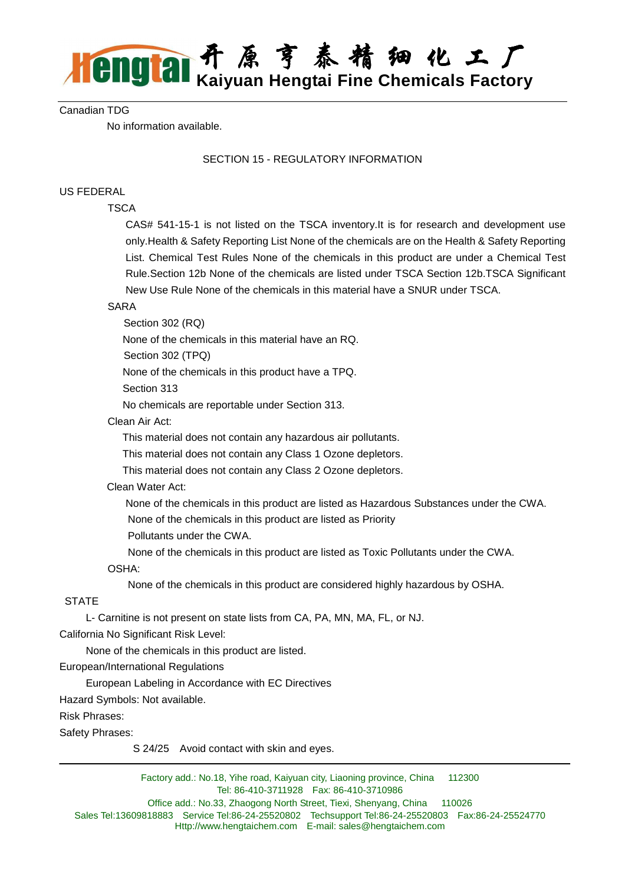## Canadian TDG

No information available.

## SECTION 15 - REGULATORY INFORMATION

## US FEDERAL

## **TSCA**

CAS# 541-15-1 is not listed on the TSCA inventory.It is for research and development use only.Health & Safety Reporting List None of the chemicals are on the Health & Safety Reporting List. Chemical Test Rules None of the chemicals in this product are under a Chemical Test Rule.Section 12b None of the chemicals are listed under TSCA Section 12b.TSCA Significant New Use Rule None of the chemicals in this material have a SNUR under TSCA.

## SARA

Section 302 (RQ)

None of the chemicals in this material have an RQ.

Section 302 (TPQ)

None of the chemicals in this product have a TPQ.

Section 313

No chemicals are reportable under Section 313.

Clean Air Act:

This material does not contain any hazardous air pollutants.

This material does not contain any Class 1 Ozone depletors.

This material does not contain any Class 2 Ozone depletors.

## Clean Water Act:

None of the chemicals in this product are listed as Hazardous Substances under the CWA.

None of the chemicals in this product are listed as Priority

Pollutants under the CWA.

None of the chemicals in this product are listed as Toxic Pollutants under the CWA.

OSHA:

None of the chemicals in this product are considered highly hazardous by OSHA.

## **STATE**

 L- Carnitine is not present on state lists from CA, PA, MN, MA, FL, or NJ. California No Significant Risk Level:

None of the chemicals in this product are listed.

European/International Regulations

European Labeling in Accordance with EC Directives

Hazard Symbols: Not available.

Risk Phrases:

Safety Phrases:

S 24/25 Avoid contact with skin and eyes.